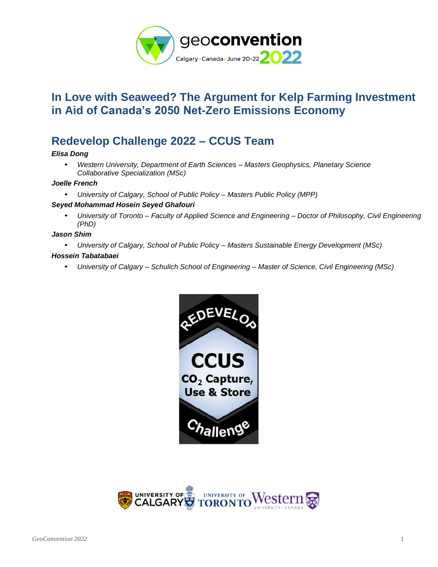

# **In Love with Seaweed? The Argument for Kelp Farming Investment in Aid of Canada's 2050 Net-Zero Emissions Economy**

# **Redevelop Challenge 2022 – CCUS Team**

### *Elisa Dong*

• *Western University, Department of Earth Sciences – Masters Geophysics, Planetary Science Collaborative Specialization (MSc)*

#### *Joelle French*

• *University of Calgary, School of Public Policy – Masters Public Policy (MPP)*

#### *Seyed Mohammad Hosein Seyed Ghafouri*

• *University of Toronto – Faculty of Applied Science and Engineering – Doctor of Philosophy, Civil Engineering (PhD)*

#### *Jason Shim*

• *University of Calgary, School of Public Policy – Masters Sustainable Energy Development (MSc)*

#### *Hossein Tabatabaei*

• *University of Calgary – Schulich School of Engineering – Master of Science, Civil Engineering (MSc)*



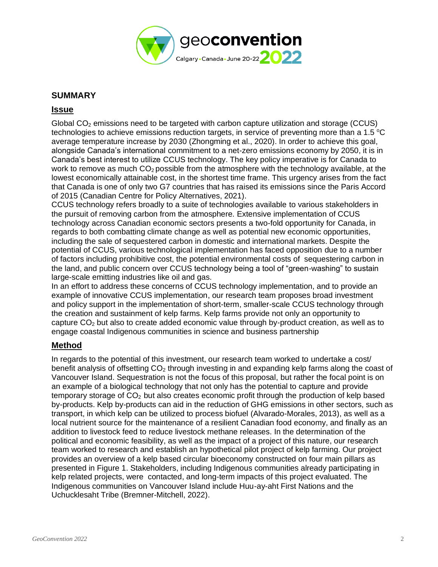

## **SUMMARY**

## **Issue**

Global  $CO<sub>2</sub>$  emissions need to be targeted with carbon capture utilization and storage (CCUS) technologies to achieve emissions reduction targets, in service of preventing more than a 1.5  $\degree$ C average temperature increase by 2030 (Zhongming et al., 2020). In order to achieve this goal, alongside Canada's international commitment to a net-zero emissions economy by 2050, it is in Canada's best interest to utilize CCUS technology. The key policy imperative is for Canada to work to remove as much  $CO<sub>2</sub>$  possible from the atmosphere with the technology available, at the lowest economically attainable cost, in the shortest time frame. This urgency arises from the fact that Canada is one of only two G7 countries that has raised its emissions since the Paris Accord of 2015 (Canadian Centre for Policy Alternatives, 2021).

CCUS technology refers broadly to a suite of technologies available to various stakeholders in the pursuit of removing carbon from the atmosphere. Extensive implementation of CCUS technology across Canadian economic sectors presents a two-fold opportunity for Canada, in regards to both combatting climate change as well as potential new economic opportunities, including the sale of sequestered carbon in domestic and international markets. Despite the potential of CCUS, various technological implementation has faced opposition due to a number of factors including prohibitive cost, the potential environmental costs of sequestering carbon in the land, and public concern over CCUS technology being a tool of "green-washing" to sustain large-scale emitting industries like oil and gas.

In an effort to address these concerns of CCUS technology implementation, and to provide an example of innovative CCUS implementation, our research team proposes broad investment and policy support in the implementation of short-term, smaller-scale CCUS technology through the creation and sustainment of kelp farms. Kelp farms provide not only an opportunity to capture  $CO<sub>2</sub>$  but also to create added economic value through by-product creation, as well as to engage coastal Indigenous communities in science and business partnership

## **Method**

In regards to the potential of this investment, our research team worked to undertake a cost/ benefit analysis of offsetting  $CO<sub>2</sub>$  through investing in and expanding kelp farms along the coast of Vancouver Island. Sequestration is not the focus of this proposal, but rather the focal point is on an example of a biological technology that not only has the potential to capture and provide temporary storage of  $CO<sub>2</sub>$  but also creates economic profit through the production of kelp based by-products. Kelp by-products can aid in the reduction of GHG emissions in other sectors, such as transport, in which kelp can be utilized to process biofuel (Alvarado-Morales, 2013), as well as a local nutrient source for the maintenance of a resilient Canadian food economy, and finally as an addition to livestock feed to reduce livestock methane releases. In the determination of the political and economic feasibility, as well as the impact of a project of this nature, our research team worked to research and establish an hypothetical pilot project of kelp farming. Our project provides an overview of a kelp based circular bioeconomy constructed on four main pillars as presented in Figure 1. Stakeholders, including Indigenous communities already participating in kelp related projects, were contacted, and long-term impacts of this project evaluated. The Indigenous communities on Vancouver Island include Huu-ay-aht First Nations and the Uchucklesaht Tribe (Bremner-Mitchell, 2022).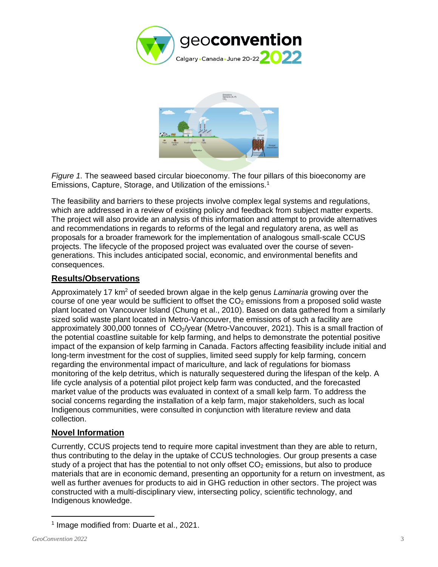



*Figure 1.* The seaweed based circular bioeconomy. The four pillars of this bioeconomy are Emissions, Capture, Storage, and Utilization of the emissions.<sup>1</sup>

The feasibility and barriers to these projects involve complex legal systems and regulations, which are addressed in a review of existing policy and feedback from subject matter experts. The project will also provide an analysis of this information and attempt to provide alternatives and recommendations in regards to reforms of the legal and regulatory arena, as well as proposals for a broader framework for the implementation of analogous small-scale CCUS projects. The lifecycle of the proposed project was evaluated over the course of sevengenerations. This includes anticipated social, economic, and environmental benefits and consequences.

## **Results/Observations**

Approximately 17 km<sup>2</sup> of seeded brown algae in the kelp genus *Laminaria* growing over the course of one year would be sufficient to offset the  $CO<sub>2</sub>$  emissions from a proposed solid waste plant located on Vancouver Island (Chung et al., 2010). Based on data gathered from a similarly sized solid waste plant located in Metro-Vancouver, the emissions of such a facility are approximately 300,000 tonnes of  $CO_2$ /year (Metro-Vancouver, 2021). This is a small fraction of the potential coastline suitable for kelp farming, and helps to demonstrate the potential positive impact of the expansion of kelp farming in Canada. Factors affecting feasibility include initial and long-term investment for the cost of supplies, limited seed supply for kelp farming, concern regarding the environmental impact of mariculture, and lack of regulations for biomass monitoring of the kelp detritus, which is naturally sequestered during the lifespan of the kelp. A life cycle analysis of a potential pilot project kelp farm was conducted, and the forecasted market value of the products was evaluated in context of a small kelp farm. To address the social concerns regarding the installation of a kelp farm, major stakeholders, such as local Indigenous communities, were consulted in conjunction with literature review and data collection.

## **Novel Information**

Currently, CCUS projects tend to require more capital investment than they are able to return, thus contributing to the delay in the uptake of CCUS technologies. Our group presents a case study of a project that has the potential to not only offset  $CO<sub>2</sub>$  emissions, but also to produce materials that are in economic demand, presenting an opportunity for a return on investment, as well as further avenues for products to aid in GHG reduction in other sectors. The project was constructed with a multi-disciplinary view, intersecting policy, scientific technology, and Indigenous knowledge.

<sup>&</sup>lt;sup>1</sup> Image modified from: Duarte et al., 2021.